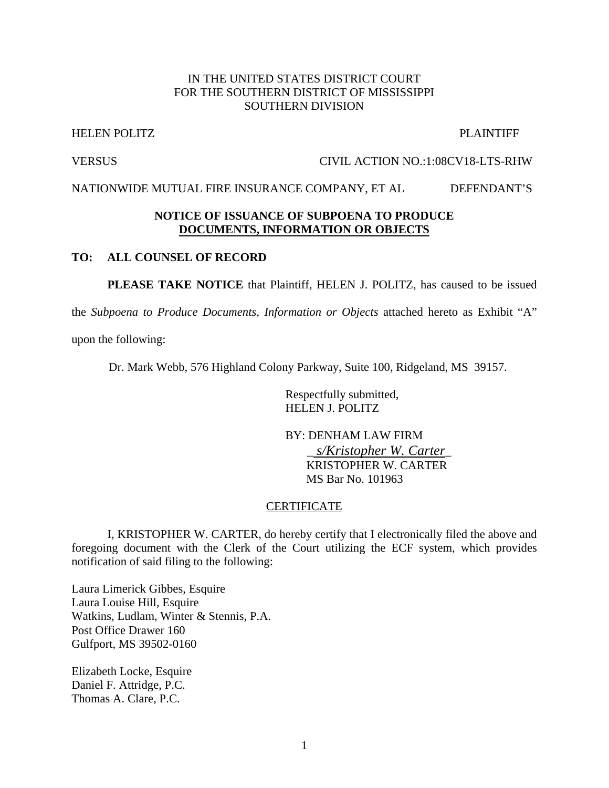## IN THE UNITED STATES DISTRICT COURT FOR THE SOUTHERN DISTRICT OF MISSISSIPPI SOUTHERN DIVISION

#### HELEN POLITZ PLAINTIFF

#### VERSUS CIVIL ACTION NO.:1:08CV18-LTS-RHW

NATIONWIDE MUTUAL FIRE INSURANCE COMPANY, ET AL DEFENDANT'S

#### **NOTICE OF ISSUANCE OF SUBPOENA TO PRODUCE DOCUMENTS, INFORMATION OR OBJECTS**

#### **TO: ALL COUNSEL OF RECORD**

**PLEASE TAKE NOTICE** that Plaintiff, HELEN J. POLITZ, has caused to be issued

the *Subpoena to Produce Documents, Information or Objects* attached hereto as Exhibit "A"

upon the following:

Dr. Mark Webb, 576 Highland Colony Parkway, Suite 100, Ridgeland, MS 39157.

 Respectfully submitted, HELEN J. POLITZ

 BY: DENHAM LAW FIRM \_ *s/Kristopher W. Carter*\_ KRISTOPHER W. CARTER MS Bar No. 101963

#### CERTIFICATE

 I, KRISTOPHER W. CARTER, do hereby certify that I electronically filed the above and foregoing document with the Clerk of the Court utilizing the ECF system, which provides notification of said filing to the following:

Laura Limerick Gibbes, Esquire Laura Louise Hill, Esquire Watkins, Ludlam, Winter & Stennis, P.A. Post Office Drawer 160 Gulfport, MS 39502-0160

Elizabeth Locke, Esquire Daniel F. Attridge, P.C. Thomas A. Clare, P.C.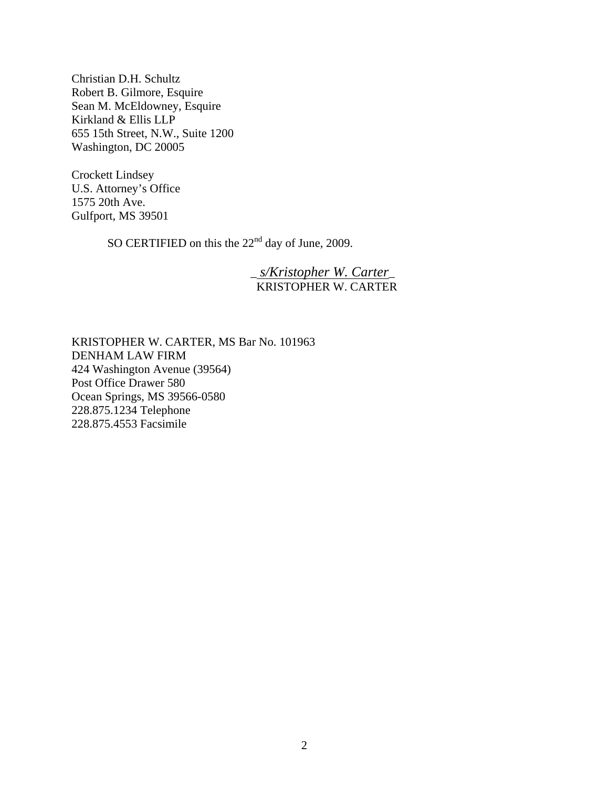Christian D.H. Schultz Robert B. Gilmore, Esquire Sean M. McEldowney, Esquire Kirkland & Ellis LLP 655 15th Street, N.W., Suite 1200 Washington, DC 20005

Crockett Lindsey U.S. Attorney's Office 1575 20th Ave. Gulfport, MS 39501

SO CERTIFIED on this the 22<sup>nd</sup> day of June, 2009.

# \_ *s/Kristopher W. Carter*\_ KRISTOPHER W. CARTER

KRISTOPHER W. CARTER, MS Bar No. 101963 DENHAM LAW FIRM 424 Washington Avenue (39564) Post Office Drawer 580 Ocean Springs, MS 39566-0580 228.875.1234 Telephone 228.875.4553 Facsimile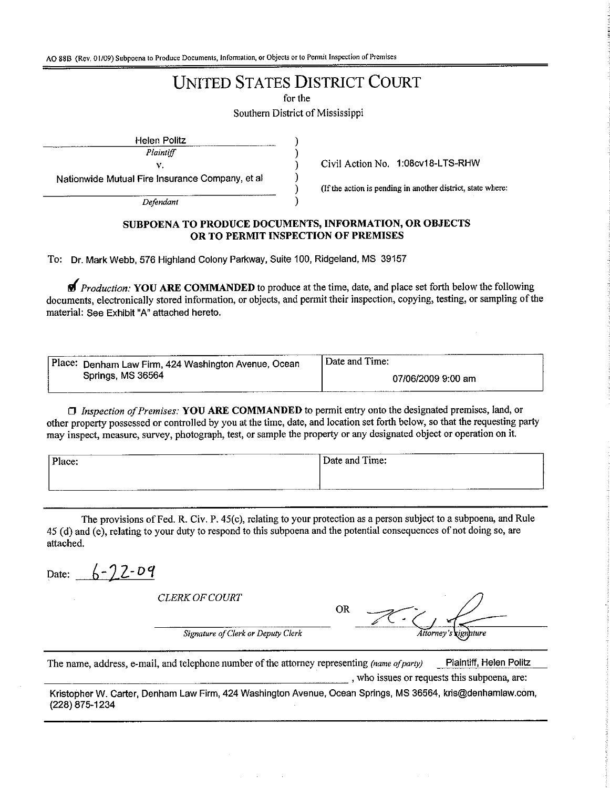AO 88B (Rev. 01/09) Subpoena to Produce Documents, Information, or Objects or to Permit Inspection of Premises

# **UNITED STATES DISTRICT COURT**

for the

Southern District of Mississippi

**Helen Politz** 

Plaintiff v.

Nationwide Mutual Fire Insurance Company, et al

Defendant

Civil Action No. 1:08cv18-LTS-RHW

(If the action is pending in another district, state where:

#### SUBPOENA TO PRODUCE DOCUMENTS, INFORMATION, OR OBJECTS OR TO PERMIT INSPECTION OF PREMISES

To: Dr. Mark Webb, 576 Highland Colony Parkway, Suite 100, Ridgeland, MS 39157

**M** Production: YOU ARE COMMANDED to produce at the time, date, and place set forth below the following documents, electronically stored information, or objects, and permit their inspection, copying, testing, or sampling of the material: See Exhibit "A" attached hereto.

| Place: Denham Law Firm, 424 Washington Avenue, Ocean | Date and Time:     |
|------------------------------------------------------|--------------------|
| Springs, MS 36564                                    | 07/06/2009 9:00 am |

□ Inspection of Premises: YOU ARE COMMANDED to permit entry onto the designated premises, land, or other property possessed or controlled by you at the time, date, and location set forth below, so that the requesting party may inspect, measure, survey, photograph, test, or sample the property or any designated object or operation on it.

| Place: | Time:<br>Jate |
|--------|---------------|
|        |               |

The provisions of Fed. R. Civ. P. 45(c), relating to your protection as a person subject to a subpoena, and Rule 45 (d) and (e), relating to your duty to respond to this subpoena and the potential consequences of not doing so, are attached.

Date:  $6 - 72 - 09$ 

**CLERK OF COURT** 

**OR** ignature

Signature of Clerk or Deputy Clerk

The name, address, e-mail, and telephone number of the attorney representing (name of party) Plaintiff, Helen Politz , who issues or requests this subpoena, are:

Kristopher W. Carter, Denham Law Firm, 424 Washington Avenue, Ocean Springs, MS 36564, kris@denhamlaw.com, (228) 875-1234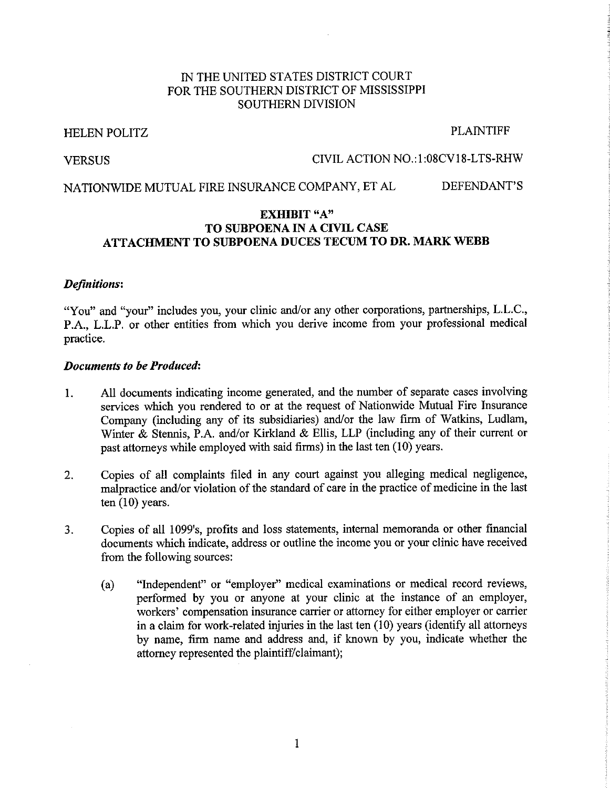# IN THE UNITED STATES DISTRICT COURT FOR THE SOUTHERN DISTRICT OF MISSISSIPPI **SOUTHERN DIVISION**

#### **HELEN POLITZ**

#### **PLAINTIFF**

**VERSUS** 

### CIVIL ACTION NO.:1:08CV18-LTS-RHW

NATIONWIDE MUTUAL FIRE INSURANCE COMPANY, ET AL DEFENDANT'S

### **EXHIBIT "A"** TO SUBPOENA IN A CIVIL CASE ATTACHMENT TO SUBPOENA DUCES TECUM TO DR. MARK WEBB

#### **Definitions:**

"You" and "your" includes you, your clinic and/or any other corporations, partnerships, L.L.C., P.A., L.L.P. or other entities from which you derive income from your professional medical practice.

#### **Documents to be Produced:**

- All documents indicating income generated, and the number of separate cases involving  $\mathbf{1}$ . services which you rendered to or at the request of Nationwide Mutual Fire Insurance Company (including any of its subsidiaries) and/or the law firm of Watkins, Ludlam, Winter & Stennis, P.A. and/or Kirkland & Ellis, LLP (including any of their current or past attorneys while employed with said firms) in the last ten  $(10)$  years.
- Copies of all complaints filed in any court against you alleging medical negligence,  $2.$ malpractice and/or violation of the standard of care in the practice of medicine in the last ten  $(10)$  years.
- $3.$ Copies of all 1099's, profits and loss statements, internal memoranda or other financial documents which indicate, address or outline the income you or your clinic have received from the following sources:
	- "Independent" or "employer" medical examinations or medical record reviews,  $(a)$ performed by you or anyone at your clinic at the instance of an employer, workers' compensation insurance carrier or attorney for either employer or carrier in a claim for work-related injuries in the last ten (10) years (identify all attorneys by name, firm name and address and, if known by you, indicate whether the attorney represented the plaintiff/claimant);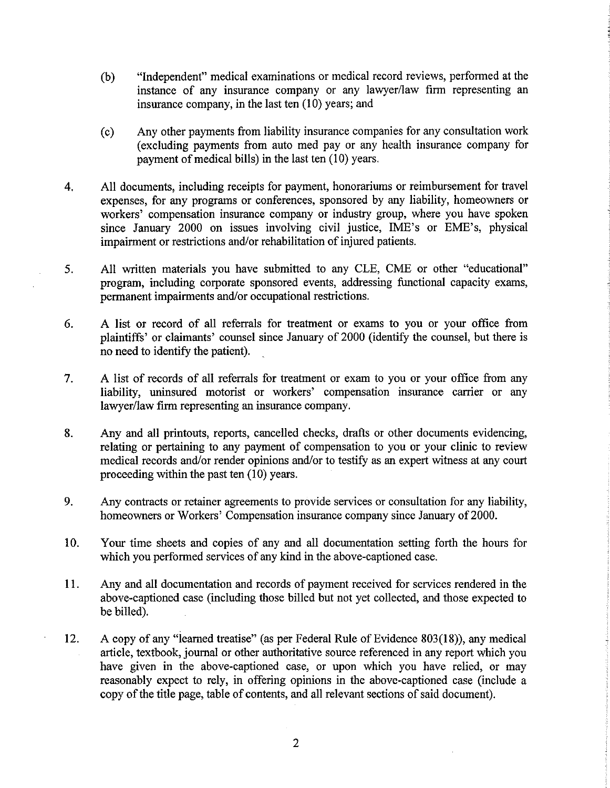- $(b)$ "Independent" medical examinations or medical record reviews, performed at the instance of any insurance company or any lawyer/law firm representing an insurance company, in the last ten  $(10)$  years; and
- Any other payments from liability insurance companies for any consultation work  $(c)$ (excluding payments from auto med pay or any health insurance company for payment of medical bills) in the last ten (10) years.
- All documents, including receipts for payment, honorariums or reimbursement for travel  $\overline{4}$ . expenses, for any programs or conferences, sponsored by any liability, homeowners or workers' compensation insurance company or industry group, where you have spoken since January 2000 on issues involving civil justice, IME's or EME's, physical impairment or restrictions and/or rehabilitation of injured patients.
- $5.$ All written materials you have submitted to any CLE, CME or other "educational" program, including corporate sponsored events, addressing functional capacity exams, permanent impairments and/or occupational restrictions.
- $6<sub>1</sub>$ A list or record of all referrals for treatment or exams to you or your office from plaintiffs' or claimants' counsel since January of 2000 (identify the counsel, but there is no need to identify the patient).
- $7<sub>1</sub>$ A list of records of all referrals for treatment or exam to you or your office from any liability, uninsured motorist or workers' compensation insurance carrier or any lawyer/law firm representing an insurance company.
- Any and all printouts, reports, cancelled checks, drafts or other documents evidencing, 8. relating or pertaining to any payment of compensation to you or your clinic to review medical records and/or render opinions and/or to testify as an expert witness at any court proceeding within the past ten  $(10)$  years.
- $9<sub>1</sub>$ Any contracts or retainer agreements to provide services or consultation for any liability, homeowners or Workers' Compensation insurance company since January of 2000.
- Your time sheets and copies of any and all documentation setting forth the hours for  $10.$ which you performed services of any kind in the above-captioned case.
- Any and all documentation and records of payment received for services rendered in the 11. above-captioned case (including those billed but not yet collected, and those expected to be billed).
- $12.$ A copy of any "learned treatise" (as per Federal Rule of Evidence 803(18)), any medical article, textbook, journal or other authoritative source referenced in any report which you have given in the above-captioned case, or upon which you have relied, or may reasonably expect to rely, in offering opinions in the above-captioned case (include a copy of the title page, table of contents, and all relevant sections of said document).